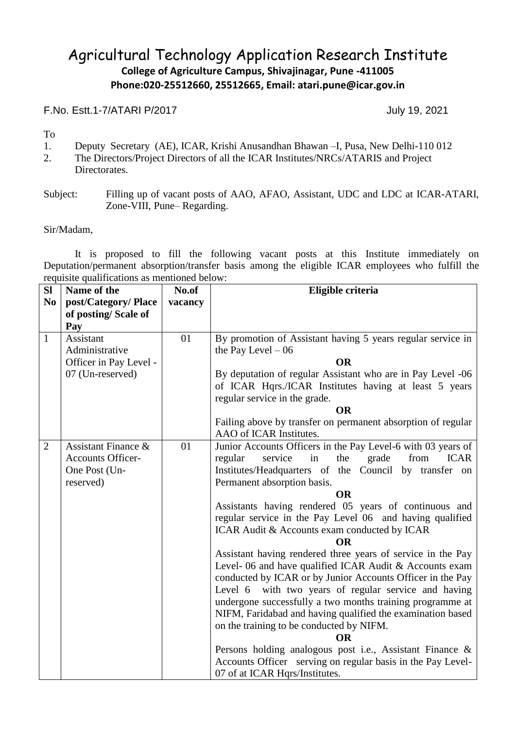# Agricultural Technology Application Research Institute **College of Agriculture Campus, Shivajinagar, Pune -411005 Phone:020-25512660, 25512665, Email: atari.pune@icar.gov.in**

F.No. Estt.1-7/ATARI P/2017 July 19, 2021

To

- 1. Deputy Secretary (AE), ICAR, Krishi Anusandhan Bhawan –I, Pusa, New Delhi-110 012
- 2. The Directors/Project Directors of all the ICAR Institutes/NRCs/ATARIS and Project Directorates.
- Subject: Filling up of vacant posts of AAO, AFAO, Assistant, UDC and LDC at ICAR-ATARI, Zone-VIII, Pune– Regarding.

### Sir/Madam,

It is proposed to fill the following vacant posts at this Institute immediately on Deputation/permanent absorption/transfer basis among the eligible ICAR employees who fulfill the requisite qualifications as mentioned below:

| <b>SI</b>      | Name of the                                                                   | No.of   | Eligible criteria                                                                                                                                                                                                                                                                                                                                                                                                                                                                                                                                                                                                                                                                                                                                                                                                                                                                                                                                                                                                |  |  |
|----------------|-------------------------------------------------------------------------------|---------|------------------------------------------------------------------------------------------------------------------------------------------------------------------------------------------------------------------------------------------------------------------------------------------------------------------------------------------------------------------------------------------------------------------------------------------------------------------------------------------------------------------------------------------------------------------------------------------------------------------------------------------------------------------------------------------------------------------------------------------------------------------------------------------------------------------------------------------------------------------------------------------------------------------------------------------------------------------------------------------------------------------|--|--|
| N <sub>0</sub> | post/Category/Place                                                           | vacancy |                                                                                                                                                                                                                                                                                                                                                                                                                                                                                                                                                                                                                                                                                                                                                                                                                                                                                                                                                                                                                  |  |  |
|                | of posting/Scale of                                                           |         |                                                                                                                                                                                                                                                                                                                                                                                                                                                                                                                                                                                                                                                                                                                                                                                                                                                                                                                                                                                                                  |  |  |
|                | Pay                                                                           |         |                                                                                                                                                                                                                                                                                                                                                                                                                                                                                                                                                                                                                                                                                                                                                                                                                                                                                                                                                                                                                  |  |  |
| $\mathbf{1}$   | Assistant<br>Administrative<br>Officer in Pay Level -<br>07 (Un-reserved)     | 01      | By promotion of Assistant having 5 years regular service in<br>the Pay Level $-06$<br><b>OR</b><br>By deputation of regular Assistant who are in Pay Level -06<br>of ICAR Hqrs./ICAR Institutes having at least 5 years                                                                                                                                                                                                                                                                                                                                                                                                                                                                                                                                                                                                                                                                                                                                                                                          |  |  |
|                |                                                                               |         | regular service in the grade.                                                                                                                                                                                                                                                                                                                                                                                                                                                                                                                                                                                                                                                                                                                                                                                                                                                                                                                                                                                    |  |  |
|                |                                                                               |         | <b>OR</b>                                                                                                                                                                                                                                                                                                                                                                                                                                                                                                                                                                                                                                                                                                                                                                                                                                                                                                                                                                                                        |  |  |
|                |                                                                               |         | Failing above by transfer on permanent absorption of regular<br>AAO of ICAR Institutes.                                                                                                                                                                                                                                                                                                                                                                                                                                                                                                                                                                                                                                                                                                                                                                                                                                                                                                                          |  |  |
| $\overline{2}$ | Assistant Finance &<br><b>Accounts Officer-</b><br>One Post (Un-<br>reserved) | 01      | Junior Accounts Officers in the Pay Level-6 with 03 years of<br>regular<br>service<br>in<br>the<br>from<br><b>ICAR</b><br>grade<br>Institutes/Headquarters of the Council by transfer on<br>Permanent absorption basis.<br><b>OR</b><br>Assistants having rendered 05 years of continuous and<br>regular service in the Pay Level 06 and having qualified<br>ICAR Audit & Accounts exam conducted by ICAR<br>OR<br>Assistant having rendered three years of service in the Pay<br>Level- 06 and have qualified ICAR Audit & Accounts exam<br>conducted by ICAR or by Junior Accounts Officer in the Pay<br>Level 6 with two years of regular service and having<br>undergone successfully a two months training programme at<br>NIFM, Faridabad and having qualified the examination based<br>on the training to be conducted by NIFM.<br><b>OR</b><br>Persons holding analogous post i.e., Assistant Finance &<br>Accounts Officer serving on regular basis in the Pay Level-<br>07 of at ICAR Hqrs/Institutes. |  |  |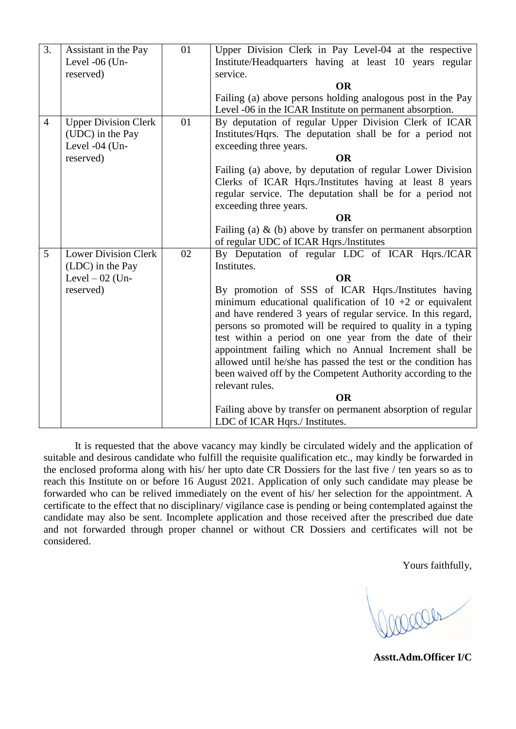| 3.             | Assistant in the Pay<br>Level -06 (Un-<br>reserved)                              | 01 | Upper Division Clerk in Pay Level-04 at the respective<br>Institute/Headquarters having at least 10 years regular<br>service.<br><b>OR</b><br>Failing (a) above persons holding analogous post in the Pay<br>Level -06 in the ICAR Institute on permanent absorption.                                                                                                                                                                                                                                                                                                                                                                                                                                                    |
|----------------|----------------------------------------------------------------------------------|----|--------------------------------------------------------------------------------------------------------------------------------------------------------------------------------------------------------------------------------------------------------------------------------------------------------------------------------------------------------------------------------------------------------------------------------------------------------------------------------------------------------------------------------------------------------------------------------------------------------------------------------------------------------------------------------------------------------------------------|
| $\overline{4}$ | <b>Upper Division Clerk</b><br>(UDC) in the Pay<br>Level -04 (Un-<br>reserved)   | 01 | By deputation of regular Upper Division Clerk of ICAR<br>Institutes/Hqrs. The deputation shall be for a period not<br>exceeding three years.<br><b>OR</b><br>Failing (a) above, by deputation of regular Lower Division<br>Clerks of ICAR Hqrs./Institutes having at least 8 years<br>regular service. The deputation shall be for a period not<br>exceeding three years.<br><b>OR</b><br>Failing (a) $\&$ (b) above by transfer on permanent absorption<br>of regular UDC of ICAR Hqrs./Institutes                                                                                                                                                                                                                      |
| 5              | <b>Lower Division Clerk</b><br>(LDC) in the Pay<br>Level $-02$ (Un-<br>reserved) | 02 | By Deputation of regular LDC of ICAR Hqrs./ICAR<br>Institutes.<br><b>OR</b><br>By promotion of SSS of ICAR Hqrs./Institutes having<br>minimum educational qualification of $10 + 2$ or equivalent<br>and have rendered 3 years of regular service. In this regard,<br>persons so promoted will be required to quality in a typing<br>test within a period on one year from the date of their<br>appointment failing which no Annual Increment shall be<br>allowed until he/she has passed the test or the condition has<br>been waived off by the Competent Authority according to the<br>relevant rules.<br><b>OR</b><br>Failing above by transfer on permanent absorption of regular<br>LDC of ICAR Hqrs./ Institutes. |

It is requested that the above vacancy may kindly be circulated widely and the application of suitable and desirous candidate who fulfill the requisite qualification etc., may kindly be forwarded in the enclosed proforma along with his/ her upto date CR Dossiers for the last five / ten years so as to reach this Institute on or before 16 August 2021. Application of only such candidate may please be forwarded who can be relived immediately on the event of his/ her selection for the appointment. A certificate to the effect that no disciplinary/ vigilance case is pending or being contemplated against the candidate may also be sent. Incomplete application and those received after the prescribed due date and not forwarded through proper channel or without CR Dossiers and certificates will not be considered.

Yours faithfully,

**Asstt.Adm.Officer I/C**